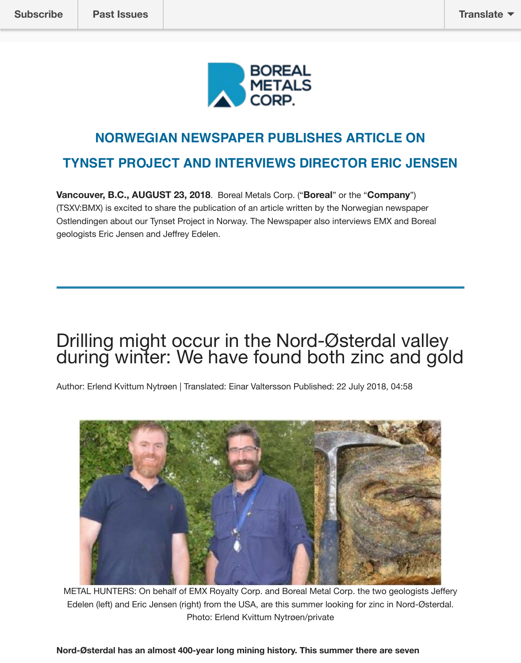

## **NORWEGIAN NEWSPAPER PUBLISHES ARTICLE ON TYNSET PROJECT AND INTERVIEWS DIRECTOR ERIC JENSEN**

**Vancouver, B.C., AUGUST 23, 2018**. Boreal Metals Corp. ("**Boreal**" or the "**Company**") (TSXV:BMX) is excited to share the publication of an article written by the Norwegian newspaper Ostlendingen about our Tynset Project in Norway. The Newspaper also interviews EMX and Boreal geologists Eric Jensen and Jeffrey Edelen.

# Drilling might occur in the Nord-Østerdal valley during winter: We have found both zinc and gold

Author: Erlend Kvittum Nytrøen | Translated: Einar Valtersson Published: 22 July 2018, 04:58



METAL HUNTERS: On behalf of EMX Royalty Corp. and Boreal Metal Corp. the two geologists Jeffery Edelen (left) and Eric Jensen (right) from the USA, are this summer looking for zinc in Nord-Østerdal. Photo: Erlend Kvittum Nytrøen/private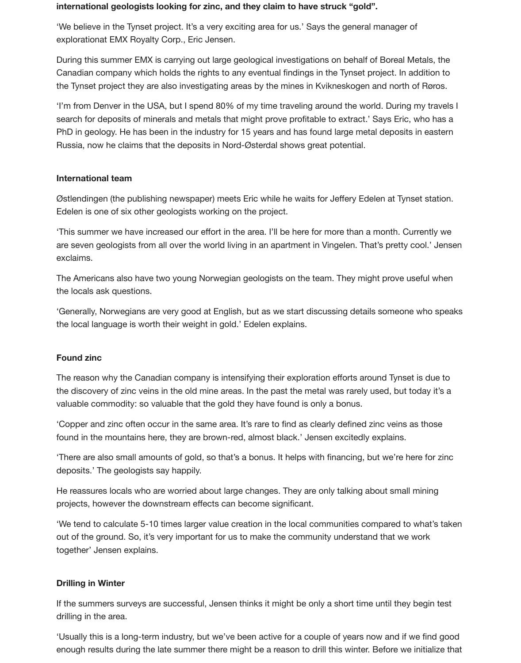#### **international geologists looking for zinc, and they claim to have struck "gold".**

'We believe in the Tynset project. It's a very exciting area for us.' Says the general manager of explorationat EMX Royalty Corp., Eric Jensen.

During this summer EMX is carrying out large geological investigations on behalf of Boreal Metals, the Canadian company which holds the rights to any eventual findings in the Tynset project. In addition to the Tynset project they are also investigating areas by the mines in Kvikneskogen and north of Røros.

'I'm from Denver in the USA, but I spend 80% of my time traveling around the world. During my travels I search for deposits of minerals and metals that might prove profitable to extract.' Says Eric, who has a PhD in geology. He has been in the industry for 15 years and has found large metal deposits in eastern Russia, now he claims that the deposits in Nord-Østerdal shows great potential.

#### **International team**

Østlendingen (the publishing newspaper) meets Eric while he waits for Jeffery Edelen at Tynset station. Edelen is one of six other geologists working on the project.

'This summer we have increased our effort in the area. I'll be here for more than a month. Currently we are seven geologists from all over the world living in an apartment in Vingelen. That's pretty cool.' Jensen exclaims.

The Americans also have two young Norwegian geologists on the team. They might prove useful when the locals ask questions.

'Generally, Norwegians are very good at English, but as we start discussing details someone who speaks the local language is worth their weight in gold.' Edelen explains.

#### **Found zinc**

The reason why the Canadian company is intensifying their exploration efforts around Tynset is due to the discovery of zinc veins in the old mine areas. In the past the metal was rarely used, but today it's a valuable commodity: so valuable that the gold they have found is only a bonus.

'Copper and zinc often occur in the same area. It's rare to find as clearly defined zinc veins as those found in the mountains here, they are brown-red, almost black.' Jensen excitedly explains.

'There are also small amounts of gold, so that's a bonus. It helps with financing, but we're here for zinc deposits.' The geologists say happily.

He reassures locals who are worried about large changes. They are only talking about small mining projects, however the downstream effects can become significant.

'We tend to calculate 5-10 times larger value creation in the local communities compared to what's taken out of the ground. So, it's very important for us to make the community understand that we work together' Jensen explains.

#### **Drilling in Winter**

If the summers surveys are successful, Jensen thinks it might be only a short time until they begin test drilling in the area.

'Usually this is a long-term industry, but we've been active for a couple of years now and if we find good enough results during the late summer there might be a reason to drill this winter. Before we initialize that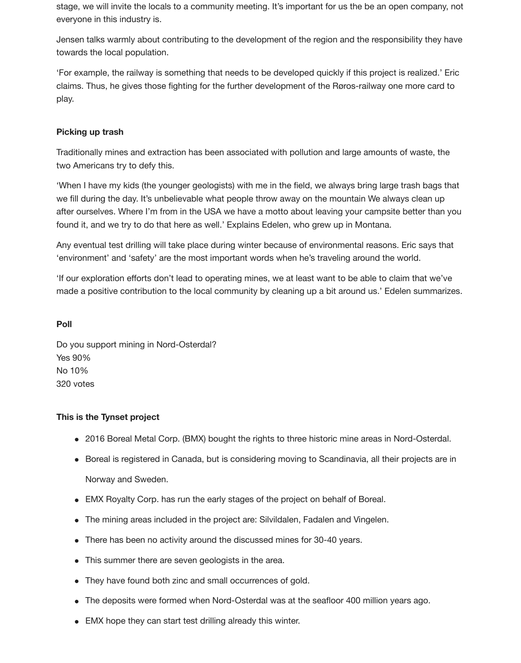stage, we will invite the locals to a community meeting. It's important for us the be an open company, not everyone in this industry is.

Jensen talks warmly about contributing to the development of the region and the responsibility they have towards the local population.

'For example, the railway is something that needs to be developed quickly if this project is realized.' Eric claims. Thus, he gives those fighting for the further development of the Røros-railway one more card to play.

#### **Picking up trash**

Traditionally mines and extraction has been associated with pollution and large amounts of waste, the two Americans try to defy this.

'When I have my kids (the younger geologists) with me in the field, we always bring large trash bags that we fill during the day. It's unbelievable what people throw away on the mountain We always clean up after ourselves. Where I'm from in the USA we have a motto about leaving your campsite better than you found it, and we try to do that here as well.' Explains Edelen, who grew up in Montana.

Any eventual test drilling will take place during winter because of environmental reasons. Eric says that 'environment' and 'safety' are the most important words when he's traveling around the world.

'If our exploration efforts don't lead to operating mines, we at least want to be able to claim that we've made a positive contribution to the local community by cleaning up a bit around us.' Edelen summarizes.

#### **Poll**

Do you support mining in Nord-Osterdal? Yes 90% No 10% 320 votes

#### **This is the Tynset project**

- 2016 Boreal Metal Corp. (BMX) bought the rights to three historic mine areas in Nord-Osterdal.
- Boreal is registered in Canada, but is considering moving to Scandinavia, all their projects are in Norway and Sweden.
- EMX Royalty Corp. has run the early stages of the project on behalf of Boreal.
- The mining areas included in the project are: Silvildalen, Fadalen and Vingelen.
- There has been no activity around the discussed mines for 30-40 years.
- This summer there are seven geologists in the area.
- They have found both zinc and small occurrences of gold.
- The deposits were formed when Nord-Osterdal was at the seafloor 400 million years ago.
- EMX hope they can start test drilling already this winter.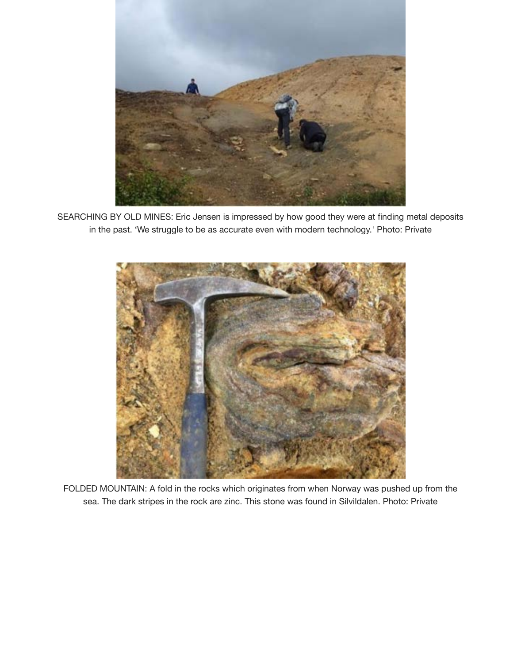

SEARCHING BY OLD MINES: Eric Jensen is impressed by how good they were at finding metal deposits in the past. 'We struggle to be as accurate even with modern technology.' Photo: Private



FOLDED MOUNTAIN: A fold in the rocks which originates from when Norway was pushed up from the sea. The dark stripes in the rock are zinc. This stone was found in Silvildalen. Photo: Private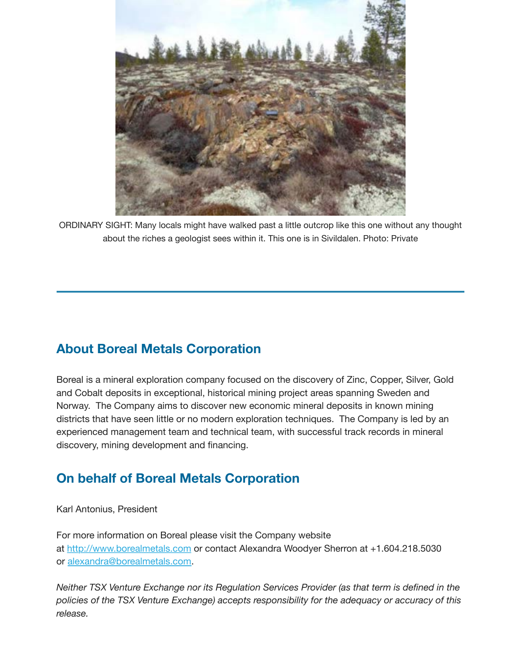

ORDINARY SIGHT: Many locals might have walked past a little outcrop like this one without any thought about the riches a geologist sees within it. This one is in Sivildalen. Photo: Private

## **About Boreal Metals Corporation**

Boreal is a mineral exploration company focused on the discovery of Zinc, Copper, Silver, Gold and Cobalt deposits in exceptional, historical mining project areas spanning Sweden and Norway. The Company aims to discover new economic mineral deposits in known mining districts that have seen little or no modern exploration techniques. The Company is led by an experienced management team and technical team, with successful track records in mineral discovery, mining development and financing.

## **On behalf of Boreal Metals Corporation**

Karl Antonius, President

For more information on Boreal please visit the Company website at [http://www.borealmetals.com](http://www.borealmetals.com/) or contact Alexandra Woodyer Sherron at +1.604.218.5030 or [alexandra@borealmetals.com](mailto:alexandra@borealmetals.com).

*Neither TSX Venture Exchange nor its Regulation Services Provider (as that term is defined in the policies of the TSX Venture Exchange) accepts responsibility for the adequacy or accuracy of this release.*